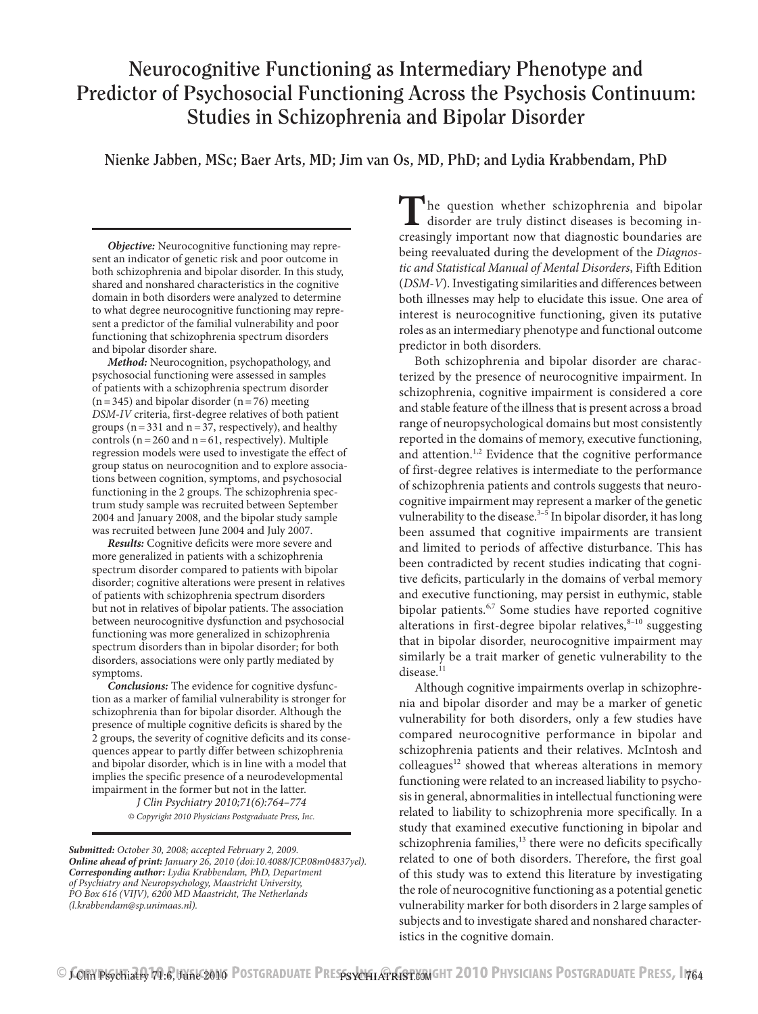# **Neurocognitive Functioning as Intermediary Phenotype and Predictor of Psychosocial Functioning Across the Psychosis Continuum: Studies in Schizophrenia and Bipolar Disorder**

**Nienke Jabben, MSc; Baer Arts, MD; Jim van Os, MD, PhD; and Lydia Krabbendam, PhD**

*Objective:* Neurocognitive functioning may represent an indicator of genetic risk and poor outcome in both schizophrenia and bipolar disorder. In this study, shared and nonshared characteristics in the cognitive domain in both disorders were analyzed to determine to what degree neurocognitive functioning may represent a predictor of the familial vulnerability and poor functioning that schizophrenia spectrum disorders and bipolar disorder share.

*Method:* Neurocognition, psychopathology, and psychosocial functioning were assessed in samples of patients with a schizophrenia spectrum disorder  $(n=345)$  and bipolar disorder  $(n=76)$  meeting *DSM-IV* criteria, first-degree relatives of both patient groups ( $n=331$  and  $n=37$ , respectively), and healthy controls ( $n=260$  and  $n=61$ , respectively). Multiple regression models were used to investigate the effect of group status on neurocognition and to explore associations between cognition, symptoms, and psychosocial functioning in the 2 groups. The schizophrenia spectrum study sample was recruited between September 2004 and January 2008, and the bipolar study sample was recruited between June 2004 and July 2007.

*Results:* Cognitive deficits were more severe and more generalized in patients with a schizophrenia spectrum disorder compared to patients with bipolar disorder; cognitive alterations were present in relatives of patients with schizophrenia spectrum disorders but not in relatives of bipolar patients. The association between neurocognitive dysfunction and psychosocial functioning was more generalized in schizophrenia spectrum disorders than in bipolar disorder; for both disorders, associations were only partly mediated by symptoms.

*Conclusions:* The evidence for cognitive dysfunction as a marker of familial vulnerability is stronger for schizophrenia than for bipolar disorder. Although the presence of multiple cognitive deficits is shared by the 2 groups, the severity of cognitive deficits and its consequences appear to partly differ between schizophrenia and bipolar disorder, which is in line with a model that implies the specific presence of a neurodevelopmental impairment in the former but not in the latter.

*J Clin Psychiatry 2010;71(6):764–774 © Copyright 2010 Physicians Postgraduate Press, Inc.*

*Submitted: October 30, 2008; accepted February 2, 2009. Online ahead of print: January 26, 2010 (doi:10.4088/JCP.08m04837yel). Corresponding author: Lydia Krabbendam, PhD, Department of Psychiatry and Neuropsychology, Maastricht University, PO Box 616 (VIJV), 6200 MD Maastricht, The Netherlands (l.krabbendam@sp.unimaas.nl).*

The question whether schizophrenia and bipolar disorder are truly distinct diseases is becoming increasingly important now that diagnostic boundaries are being reevaluated during the development of the *Diagnostic and Statistical Manual of Mental Disorders*, Fifth Edition (*DSM-V*). Investigating similarities and differences between both illnesses may help to elucidate this issue. One area of interest is neurocognitive functioning, given its putative roles as an intermediary phenotype and functional outcome predictor in both disorders.

Both schizophrenia and bipolar disorder are characterized by the presence of neurocognitive impairment. In schizophrenia, cognitive impairment is considered a core and stable feature of the illness that is present across a broad range of neuropsychological domains but most consistently reported in the domains of memory, executive functioning, and attention.<sup>1,2</sup> Evidence that the cognitive performance of first-degree relatives is intermediate to the performance of schizophrenia patients and controls suggests that neurocognitive impairment may represent a marker of the genetic vulnerability to the disease. $3-5$  In bipolar disorder, it has long been assumed that cognitive impairments are transient and limited to periods of affective disturbance. This has been contradicted by recent studies indicating that cognitive deficits, particularly in the domains of verbal memory and executive functioning, may persist in euthymic, stable bipolar patients.<sup>6,7</sup> Some studies have reported cognitive alterations in first-degree bipolar relatives, $8-10$  suggesting that in bipolar disorder, neurocognitive impairment may similarly be a trait marker of genetic vulnerability to the disease.<sup>11</sup>

Although cognitive impairments overlap in schizophrenia and bipolar disorder and may be a marker of genetic vulnerability for both disorders, only a few studies have compared neurocognitive performance in bipolar and schizophrenia patients and their relatives. McIntosh and colleagues $12$  showed that whereas alterations in memory functioning were related to an increased liability to psychosis in general, abnormalities in intellectual functioning were related to liability to schizophrenia more specifically. In a study that examined executive functioning in bipolar and schizophrenia families,<sup>13</sup> there were no deficits specifically related to one of both disorders. Therefore, the first goal of this study was to extend this literature by investigating the role of neurocognitive functioning as a potential genetic vulnerability marker for both disorders in 2 large samples of subjects and to investigate shared and nonshared characteristics in the cognitive domain.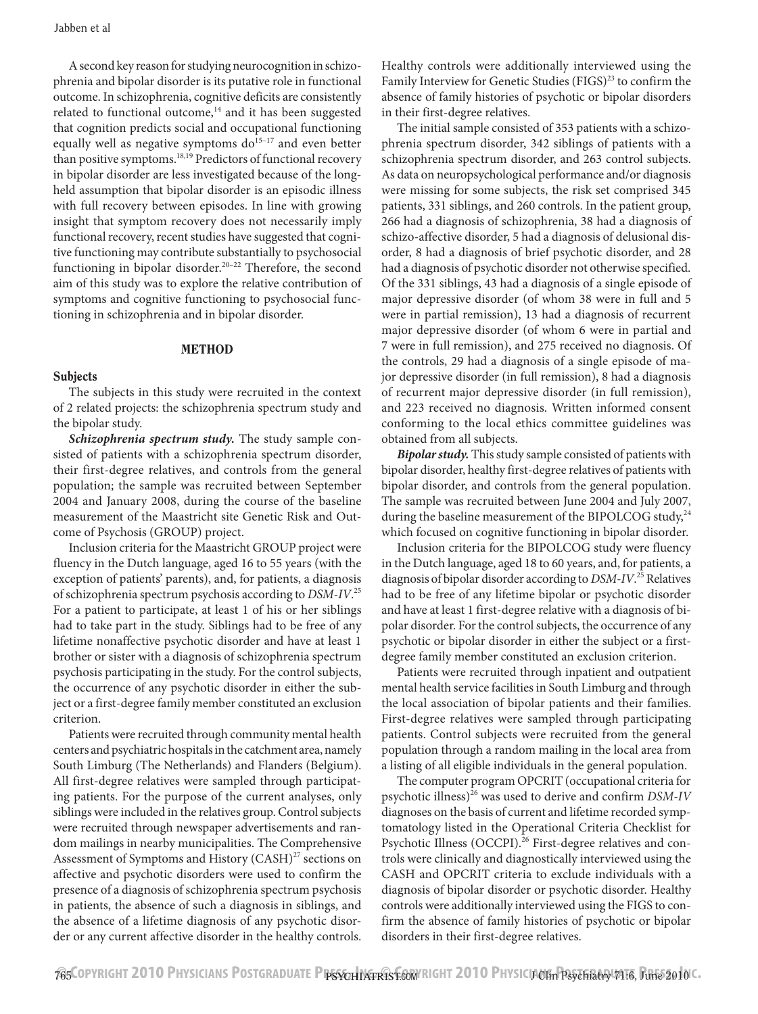A second key reason for studying neurocognition in schizophrenia and bipolar disorder is its putative role in functional outcome. In schizophrenia, cognitive deficits are consistently related to functional outcome, $14$  and it has been suggested that cognition predicts social and occupational functioning equally well as negative symptoms  $do^{15-17}$  and even better than positive symptoms.<sup>18,19</sup> Predictors of functional recovery in bipolar disorder are less investigated because of the longheld assumption that bipolar disorder is an episodic illness with full recovery between episodes. In line with growing insight that symptom recovery does not necessarily imply functional recovery, recent studies have suggested that cognitive functioning may contribute substantially to psychosocial functioning in bipolar disorder.<sup>20-22</sup> Therefore, the second aim of this study was to explore the relative contribution of symptoms and cognitive functioning to psychosocial functioning in schizophrenia and in bipolar disorder.

#### METHOD

#### **Subjects**

The subjects in this study were recruited in the context of 2 related projects: the schizophrenia spectrum study and the bipolar study.

*Schizophrenia spectrum study.* The study sample consisted of patients with a schizophrenia spectrum disorder, their first-degree relatives, and controls from the general population; the sample was recruited between September 2004 and January 2008, during the course of the baseline measurement of the Maastricht site Genetic Risk and Outcome of Psychosis (GROUP) project.

Inclusion criteria for the Maastricht GROUP project were fluency in the Dutch language, aged 16 to 55 years (with the exception of patients' parents), and, for patients, a diagnosis of schizophrenia spectrum psychosis according to *DSM-IV*. 25 For a patient to participate, at least 1 of his or her siblings had to take part in the study. Siblings had to be free of any lifetime nonaffective psychotic disorder and have at least 1 brother or sister with a diagnosis of schizophrenia spectrum psychosis participating in the study. For the control subjects, the occurrence of any psychotic disorder in either the subject or a first-degree family member constituted an exclusion criterion.

Patients were recruited through community mental health centers and psychiatric hospitals in the catchment area, namely South Limburg (The Netherlands) and Flanders (Belgium). All first-degree relatives were sampled through participating patients. For the purpose of the current analyses, only siblings were included in the relatives group. Control subjects were recruited through newspaper advertisements and random mailings in nearby municipalities. The Comprehensive Assessment of Symptoms and History  $(CASH)^{27}$  sections on affective and psychotic disorders were used to confirm the presence of a diagnosis of schizophrenia spectrum psychosis in patients, the absence of such a diagnosis in siblings, and the absence of a lifetime diagnosis of any psychotic disorder or any current affective disorder in the healthy controls.

Healthy controls were additionally interviewed using the Family Interview for Genetic Studies (FIGS)<sup>23</sup> to confirm the absence of family histories of psychotic or bipolar disorders in their first-degree relatives.

The initial sample consisted of 353 patients with a schizophrenia spectrum disorder, 342 siblings of patients with a schizophrenia spectrum disorder, and 263 control subjects. As data on neuropsychological performance and/or diagnosis were missing for some subjects, the risk set comprised 345 patients, 331 siblings, and 260 controls. In the patient group, 266 had a diagnosis of schizophrenia, 38 had a diagnosis of schizo-affective disorder, 5 had a diagnosis of delusional disorder, 8 had a diagnosis of brief psychotic disorder, and 28 had a diagnosis of psychotic disorder not otherwise specified. Of the 331 siblings, 43 had a diagnosis of a single episode of major depressive disorder (of whom 38 were in full and 5 were in partial remission), 13 had a diagnosis of recurrent major depressive disorder (of whom 6 were in partial and 7 were in full remission), and 275 received no diagnosis. Of the controls, 29 had a diagnosis of a single episode of major depressive disorder (in full remission), 8 had a diagnosis of recurrent major depressive disorder (in full remission), and 223 received no diagnosis. Written informed consent conforming to the local ethics committee guidelines was obtained from all subjects.

*Bipolar study.* This study sample consisted of patients with bipolar disorder, healthy first-degree relatives of patients with bipolar disorder, and controls from the general population. The sample was recruited between June 2004 and July 2007, during the baseline measurement of the BIPOLCOG study,  $24$ which focused on cognitive functioning in bipolar disorder.

Inclusion criteria for the BIPOLCOG study were fluency in the Dutch language, aged 18 to 60 years, and, for patients, a diagnosis of bipolar disorder according to *DSM-IV*. 25 Relatives had to be free of any lifetime bipolar or psychotic disorder and have at least 1 first-degree relative with a diagnosis of bipolar disorder. For the control subjects, the occurrence of any psychotic or bipolar disorder in either the subject or a firstdegree family member constituted an exclusion criterion.

Patients were recruited through inpatient and outpatient mental health service facilities in South Limburg and through the local association of bipolar patients and their families. First-degree relatives were sampled through participating patients. Control subjects were recruited from the general population through a random mailing in the local area from a listing of all eligible individuals in the general population.

The computer program OPCRIT (occupational criteria for psychotic illness)26 was used to derive and confirm *DSM-IV* diagnoses on the basis of current and lifetime recorded symptomatology listed in the Operational Criteria Checklist for Psychotic Illness (OCCPI).<sup>26</sup> First-degree relatives and controls were clinically and diagnostically interviewed using the CASH and OPCRIT criteria to exclude individuals with a diagnosis of bipolar disorder or psychotic disorder. Healthy controls were additionally interviewed using the FIGS to confirm the absence of family histories of psychotic or bipolar disorders in their first-degree relatives.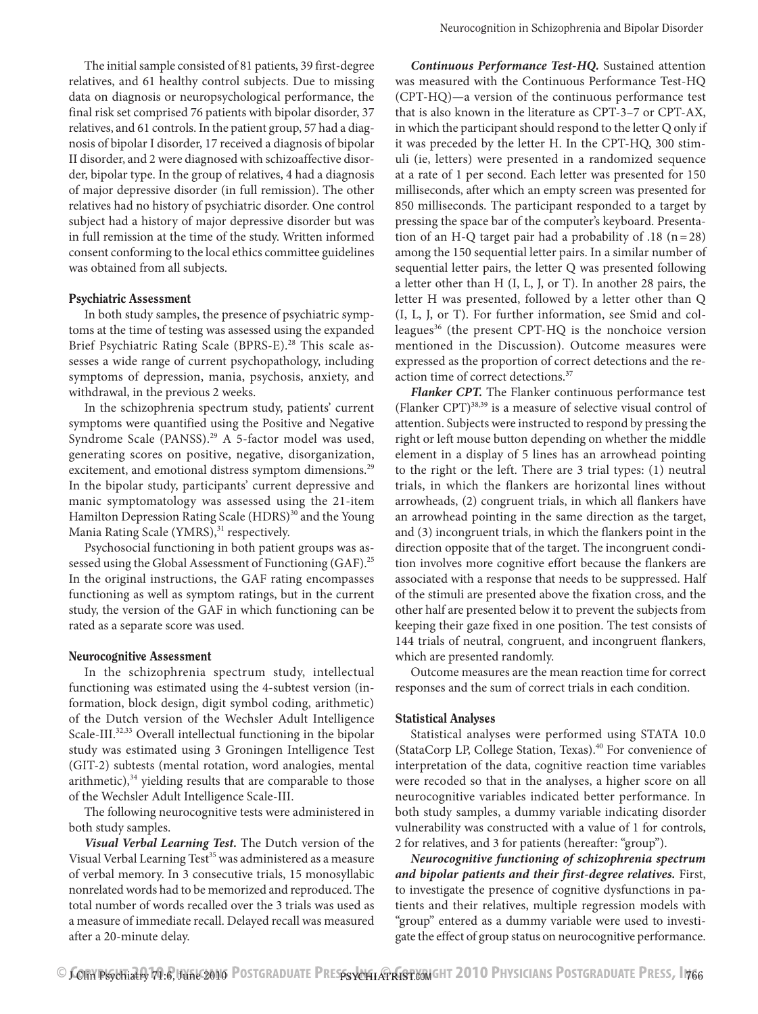The initial sample consisted of 81 patients, 39 first-degree relatives, and 61 healthy control subjects. Due to missing data on diagnosis or neuropsychological performance, the final risk set comprised 76 patients with bipolar disorder, 37 relatives, and 61 controls. In the patient group, 57 had a diagnosis of bipolar I disorder, 17 received a diagnosis of bipolar II disorder, and 2 were diagnosed with schizoaffective disorder, bipolar type. In the group of relatives, 4 had a diagnosis of major depressive disorder (in full remission). The other relatives had no history of psychiatric disorder. One control subject had a history of major depressive disorder but was in full remission at the time of the study. Written informed consent conforming to the local ethics committee guidelines was obtained from all subjects.

#### Psychiatric Assessment

In both study samples, the presence of psychiatric symptoms at the time of testing was assessed using the expanded Brief Psychiatric Rating Scale (BPRS-E).<sup>28</sup> This scale assesses a wide range of current psychopathology, including symptoms of depression, mania, psychosis, anxiety, and withdrawal, in the previous 2 weeks.

In the schizophrenia spectrum study, patients' current symptoms were quantified using the Positive and Negative Syndrome Scale (PANSS).<sup>29</sup> A 5-factor model was used, generating scores on positive, negative, disorganization, excitement, and emotional distress symptom dimensions.<sup>29</sup> In the bipolar study, participants' current depressive and manic symptomatology was assessed using the 21-item Hamilton Depression Rating Scale (HDRS)<sup>30</sup> and the Young Mania Rating Scale (YMRS),<sup>31</sup> respectively.

Psychosocial functioning in both patient groups was assessed using the Global Assessment of Functioning (GAF).<sup>25</sup> In the original instructions, the GAF rating encompasses functioning as well as symptom ratings, but in the current study, the version of the GAF in which functioning can be rated as a separate score was used.

#### Neurocognitive Assessment

In the schizophrenia spectrum study, intellectual functioning was estimated using the 4-subtest version (information, block design, digit symbol coding, arithmetic) of the Dutch version of the Wechsler Adult Intelligence Scale-III.<sup>32,33</sup> Overall intellectual functioning in the bipolar study was estimated using 3 Groningen Intelligence Test (GIT-2) subtests (mental rotation, word analogies, mental arithmetic), $34$  yielding results that are comparable to those of the Wechsler Adult Intelligence Scale-III.

The following neurocognitive tests were administered in both study samples.

*Visual Verbal Learning Test.* The Dutch version of the Visual Verbal Learning Test<sup>35</sup> was administered as a measure of verbal memory. In 3 consecutive trials, 15 monosyllabic nonrelated words had to be memorized and reproduced. The total number of words recalled over the 3 trials was used as a measure of immediate recall. Delayed recall was measured after a 20-minute delay.

*Continuous Performance Test-HQ.* Sustained attention was measured with the Continuous Performance Test-HQ (CPT-HQ)—a version of the continuous performance test that is also known in the literature as CPT-3–7 or CPT-AX, in which the participant should respond to the letter Q only if it was preceded by the letter H. In the CPT-HQ, 300 stimuli (ie, letters) were presented in a randomized sequence at a rate of 1 per second. Each letter was presented for 150 milliseconds, after which an empty screen was presented for 850 milliseconds. The participant responded to a target by pressing the space bar of the computer's keyboard. Presentation of an H-Q target pair had a probability of .18 (n=28) among the 150 sequential letter pairs. In a similar number of sequential letter pairs, the letter Q was presented following a letter other than H (I, L, J, or T). In another 28 pairs, the letter H was presented, followed by a letter other than Q (I, L, J, or T). For further information, see Smid and colleagues<sup>36</sup> (the present CPT-HQ is the nonchoice version mentioned in the Discussion). Outcome measures were expressed as the proportion of correct detections and the reaction time of correct detections.<sup>37</sup>

*Flanker CPT.* The Flanker continuous performance test (Flanker CPT) $^{38,39}$  is a measure of selective visual control of attention. Subjects were instructed to respond by pressing the right or left mouse button depending on whether the middle element in a display of 5 lines has an arrowhead pointing to the right or the left. There are 3 trial types: (1) neutral trials, in which the flankers are horizontal lines without arrowheads, (2) congruent trials, in which all flankers have an arrowhead pointing in the same direction as the target, and (3) incongruent trials, in which the flankers point in the direction opposite that of the target. The incongruent condition involves more cognitive effort because the flankers are associated with a response that needs to be suppressed. Half of the stimuli are presented above the fixation cross, and the other half are presented below it to prevent the subjects from keeping their gaze fixed in one position. The test consists of 144 trials of neutral, congruent, and incongruent flankers, which are presented randomly.

Outcome measures are the mean reaction time for correct responses and the sum of correct trials in each condition.

#### Statistical Analyses

Statistical analyses were performed using STATA 10.0 (StataCorp LP, College Station, Texas).40 For convenience of interpretation of the data, cognitive reaction time variables were recoded so that in the analyses, a higher score on all neurocognitive variables indicated better performance. In both study samples, a dummy variable indicating disorder vulnerability was constructed with a value of 1 for controls, 2 for relatives, and 3 for patients (hereafter: "group").

*Neurocognitive functioning of schizophrenia spectrum and bipolar patients and their first-degree relatives.* First, to investigate the presence of cognitive dysfunctions in patients and their relatives, multiple regression models with "group" entered as a dummy variable were used to investigate the effect of group status on neurocognitive performance.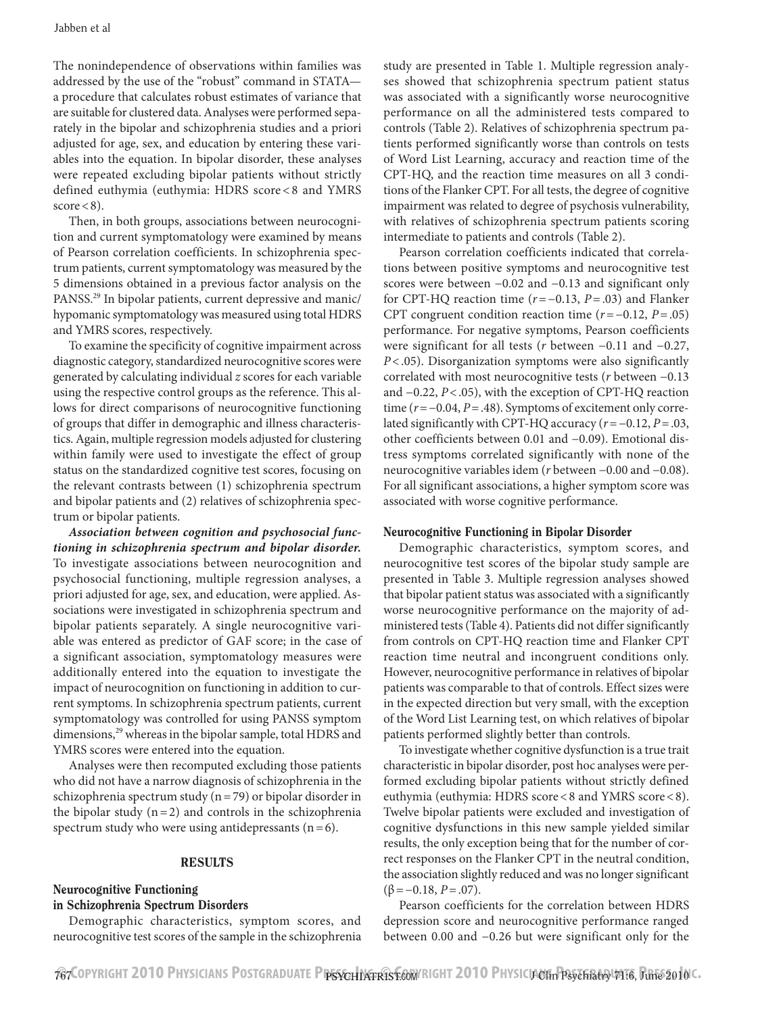The nonindependence of observations within families was addressed by the use of the "robust" command in STATA a procedure that calculates robust estimates of variance that are suitable for clustered data. Analyses were performed separately in the bipolar and schizophrenia studies and a priori adjusted for age, sex, and education by entering these variables into the equation. In bipolar disorder, these analyses were repeated excluding bipolar patients without strictly defined euthymia (euthymia: HDRS score < 8 and YMRS  $score < 8$ ).

Then, in both groups, associations between neurocognition and current symptomatology were examined by means of Pearson correlation coefficients. In schizophrenia spectrum patients, current symptomatology was measured by the 5 dimensions obtained in a previous factor analysis on the PANSS.29 In bipolar patients, current depressive and manic/ hypomanic symptomatology was measured using total HDRS and YMRS scores, respectively.

To examine the specificity of cognitive impairment across diagnostic category, standardized neurocognitive scores were generated by calculating individual *z* scores for each variable using the respective control groups as the reference. This allows for direct comparisons of neurocognitive functioning of groups that differ in demographic and illness characteristics. Again, multiple regression models adjusted for clustering within family were used to investigate the effect of group status on the standardized cognitive test scores, focusing on the relevant contrasts between (1) schizophrenia spectrum and bipolar patients and (2) relatives of schizophrenia spectrum or bipolar patients.

*Association between cognition and psychosocial functioning in schizophrenia spectrum and bipolar disorder.* To investigate associations between neurocognition and psychosocial functioning, multiple regression analyses, a priori adjusted for age, sex, and education, were applied. Associations were investigated in schizophrenia spectrum and bipolar patients separately. A single neurocognitive variable was entered as predictor of GAF score; in the case of a significant association, symptomatology measures were additionally entered into the equation to investigate the impact of neurocognition on functioning in addition to current symptoms. In schizophrenia spectrum patients, current symptomatology was controlled for using PANSS symptom dimensions,<sup>29</sup> whereas in the bipolar sample, total HDRS and YMRS scores were entered into the equation.

Analyses were then recomputed excluding those patients who did not have a narrow diagnosis of schizophrenia in the schizophrenia spectrum study ( $n=79$ ) or bipolar disorder in the bipolar study  $(n=2)$  and controls in the schizophrenia spectrum study who were using antidepressants  $(n=6)$ .

#### RESULTS

## Neurocognitive Functioning in Schizophrenia Spectrum Disorders

Demographic characteristics, symptom scores, and neurocognitive test scores of the sample in the schizophrenia

study are presented in Table 1. Multiple regression analyses showed that schizophrenia spectrum patient status was associated with a significantly worse neurocognitive performance on all the administered tests compared to controls (Table 2). Relatives of schizophrenia spectrum patients performed significantly worse than controls on tests of Word List Learning, accuracy and reaction time of the CPT-HQ, and the reaction time measures on all 3 conditions of the Flanker CPT. For all tests, the degree of cognitive impairment was related to degree of psychosis vulnerability, with relatives of schizophrenia spectrum patients scoring intermediate to patients and controls (Table 2).

Pearson correlation coefficients indicated that correlations between positive symptoms and neurocognitive test scores were between −0.02 and −0.13 and significant only for CPT-HQ reaction time (*r*=−0.13, *P*=.03) and Flanker CPT congruent condition reaction time (*r*=−0.12, *P*=.05) performance. For negative symptoms, Pearson coefficients were significant for all tests (*r* between −0.11 and −0.27, *P*<.05). Disorganization symptoms were also significantly correlated with most neurocognitive tests (*r* between −0.13 and −0.22, *P*<.05), with the exception of CPT-HQ reaction time (*r*=−0.04, *P*=.48). Symptoms of excitement only correlated significantly with CPT-HQ accuracy (*r*=−0.12, *P*=.03, other coefficients between 0.01 and −0.09). Emotional distress symptoms correlated significantly with none of the neurocognitive variables idem (*r* between −0.00 and −0.08). For all significant associations, a higher symptom score was associated with worse cognitive performance.

#### Neurocognitive Functioning in Bipolar Disorder

Demographic characteristics, symptom scores, and neurocognitive test scores of the bipolar study sample are presented in Table 3. Multiple regression analyses showed that bipolar patient status was associated with a significantly worse neurocognitive performance on the majority of administered tests (Table 4). Patients did not differ significantly from controls on CPT-HQ reaction time and Flanker CPT reaction time neutral and incongruent conditions only. However, neurocognitive performance in relatives of bipolar patients was comparable to that of controls. Effect sizes were in the expected direction but very small, with the exception of the Word List Learning test, on which relatives of bipolar patients performed slightly better than controls.

To investigate whether cognitive dysfunction is a true trait characteristic in bipolar disorder, post hoc analyses were performed excluding bipolar patients without strictly defined euthymia (euthymia: HDRS score<8 and YMRS score<8). Twelve bipolar patients were excluded and investigation of cognitive dysfunctions in this new sample yielded similar results, the only exception being that for the number of correct responses on the Flanker CPT in the neutral condition, the association slightly reduced and was no longer significant  $(\beta = -0.18, P = .07)$ .

Pearson coefficients for the correlation between HDRS depression score and neurocognitive performance ranged between 0.00 and −0.26 but were significant only for the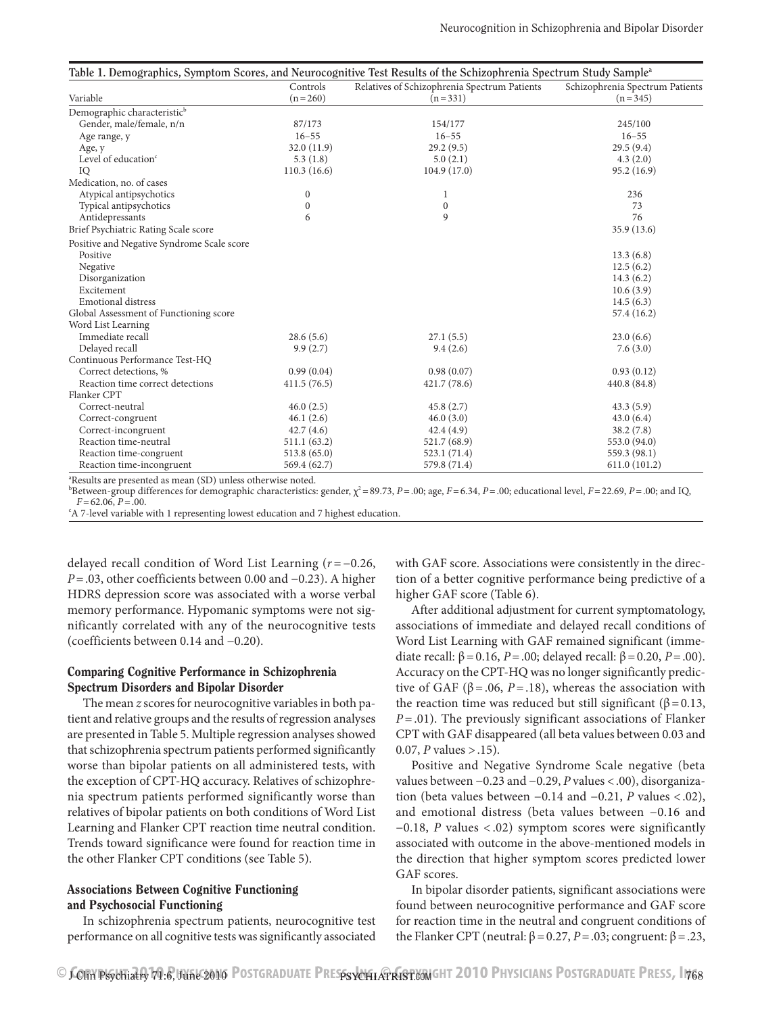| Table 1. Demographics, Symptom Scores, and Neurocognitive Test Results of the Schizophrenia Spectrum Study Sample <sup>a</sup> | Controls         | Schizophrenia Spectrum Patients                           |               |
|--------------------------------------------------------------------------------------------------------------------------------|------------------|-----------------------------------------------------------|---------------|
| Variable                                                                                                                       | $(n = 260)$      | Relatives of Schizophrenia Spectrum Patients<br>$(n=331)$ | $(n=345)$     |
|                                                                                                                                |                  |                                                           |               |
| Demographic characteristic <sup>b</sup>                                                                                        |                  |                                                           |               |
| Gender, male/female, n/n                                                                                                       | 87/173           | 154/177                                                   | 245/100       |
| Age range, y                                                                                                                   | $16 - 55$        | $16 - 55$                                                 | $16 - 55$     |
| Age, y                                                                                                                         | 32.0(11.9)       | 29.2(9.5)                                                 | 29.5(9.4)     |
| Level of education <sup>c</sup>                                                                                                | 5.3(1.8)         | 5.0(2.1)                                                  | 4.3(2.0)      |
| IQ                                                                                                                             | 110.3(16.6)      | 104.9(17.0)                                               | 95.2 (16.9)   |
| Medication, no. of cases                                                                                                       |                  |                                                           |               |
| Atypical antipsychotics                                                                                                        | $\boldsymbol{0}$ | 1                                                         | 236           |
| Typical antipsychotics                                                                                                         | $\boldsymbol{0}$ | $\boldsymbol{0}$                                          | 73            |
| Antidepressants                                                                                                                | 6                | 9                                                         | 76            |
| Brief Psychiatric Rating Scale score                                                                                           |                  |                                                           | 35.9 (13.6)   |
| Positive and Negative Syndrome Scale score                                                                                     |                  |                                                           |               |
| Positive                                                                                                                       |                  |                                                           | 13.3(6.8)     |
| Negative                                                                                                                       |                  |                                                           | 12.5(6.2)     |
| Disorganization                                                                                                                |                  |                                                           | 14.3(6.2)     |
| Excitement                                                                                                                     |                  |                                                           | 10.6(3.9)     |
| <b>Emotional distress</b>                                                                                                      |                  |                                                           | 14.5(6.3)     |
| Global Assessment of Functioning score                                                                                         |                  |                                                           | 57.4 (16.2)   |
| Word List Learning                                                                                                             |                  |                                                           |               |
| Immediate recall                                                                                                               | 28.6(5.6)        | 27.1(5.5)                                                 | 23.0(6.6)     |
| Delayed recall                                                                                                                 | 9.9(2.7)         | 9.4(2.6)                                                  | 7.6(3.0)      |
| Continuous Performance Test-HQ                                                                                                 |                  |                                                           |               |
| Correct detections, %                                                                                                          | 0.99(0.04)       | 0.98(0.07)                                                | 0.93(0.12)    |
| Reaction time correct detections                                                                                               | 411.5(76.5)      | 421.7 (78.6)                                              | 440.8 (84.8)  |
| Flanker CPT                                                                                                                    |                  |                                                           |               |
| Correct-neutral                                                                                                                | 46.0(2.5)        | 45.8(2.7)                                                 | 43.3(5.9)     |
| Correct-congruent                                                                                                              | 46.1(2.6)        | 46.0(3.0)                                                 | 43.0(6.4)     |
| Correct-incongruent                                                                                                            | 42.7(4.6)        | 42.4(4.9)                                                 | 38.2(7.8)     |
| Reaction time-neutral                                                                                                          | 511.1 (63.2)     | 521.7 (68.9)                                              | 553.0 (94.0)  |
| Reaction time-congruent                                                                                                        | 513.8 (65.0)     | 523.1 (71.4)                                              | 559.3 (98.1)  |
| Reaction time-incongruent                                                                                                      | 569.4 (62.7)     | 579.8 (71.4)                                              | 611.0 (101.2) |

a Results are presented as mean (SD) unless otherwise noted.

Between-group differences for demographic characteristics: gender,  $\chi^2$  = 89.73, *P* = .00; age, *F* = 6.34, *P* = .00; educational level, *F* = 22.69, *P* = .00; and IQ,  $F=62.06, P=.00.$ 

A 7-level variable with 1 representing lowest education and 7 highest education.

delayed recall condition of Word List Learning (*r* =−0.26, *P* = .03, other coefficients between 0.00 and −0.23). A higher HDRS depression score was associated with a worse verbal memory performance. Hypomanic symptoms were not significantly correlated with any of the neurocognitive tests (coefficients between 0.14 and −0.20).

## Comparing Cognitive Performance in Schizophrenia Spectrum Disorders and Bipolar Disorder

The mean *z* scores for neurocognitive variables in both patient and relative groups and the results of regression analyses are presented in Table 5. Multiple regression analyses showed that schizophrenia spectrum patients performed significantly worse than bipolar patients on all administered tests, with the exception of CPT-HQ accuracy. Relatives of schizophrenia spectrum patients performed significantly worse than relatives of bipolar patients on both conditions of Word List Learning and Flanker CPT reaction time neutral condition. Trends toward significance were found for reaction time in the other Flanker CPT conditions (see Table 5).

# Associations Between Cognitive Functioning and Psychosocial Functioning

In schizophrenia spectrum patients, neurocognitive test performance on all cognitive tests was significantly associated

with GAF score. Associations were consistently in the direction of a better cognitive performance being predictive of a higher GAF score (Table 6).

After additional adjustment for current symptomatology, associations of immediate and delayed recall conditions of Word List Learning with GAF remained significant (immediate recall:  $β = 0.16$ ,  $P = .00$ ; delayed recall:  $β = 0.20$ ,  $P = .00$ ). Accuracy on the CPT-HQ was no longer significantly predictive of GAF ( $\beta$ =.06, *P*=.18), whereas the association with the reaction time was reduced but still significant ( $\beta$ =0.13, *P*=.01). The previously significant associations of Flanker CPT with GAF disappeared (all beta values between 0.03 and 0.07, *P* values >.15).

Positive and Negative Syndrome Scale negative (beta values between −0.23 and −0.29, *P* values <.00), disorganization (beta values between −0.14 and −0.21, *P* values <.02), and emotional distress (beta values between −0.16 and −0.18, *P* values < .02) symptom scores were significantly associated with outcome in the above-mentioned models in the direction that higher symptom scores predicted lower GAF scores.

In bipolar disorder patients, significant associations were found between neurocognitive performance and GAF score for reaction time in the neutral and congruent conditions of the Flanker CPT (neutral:  $β = 0.27$ ,  $P = .03$ ; congruent:  $β = .23$ ,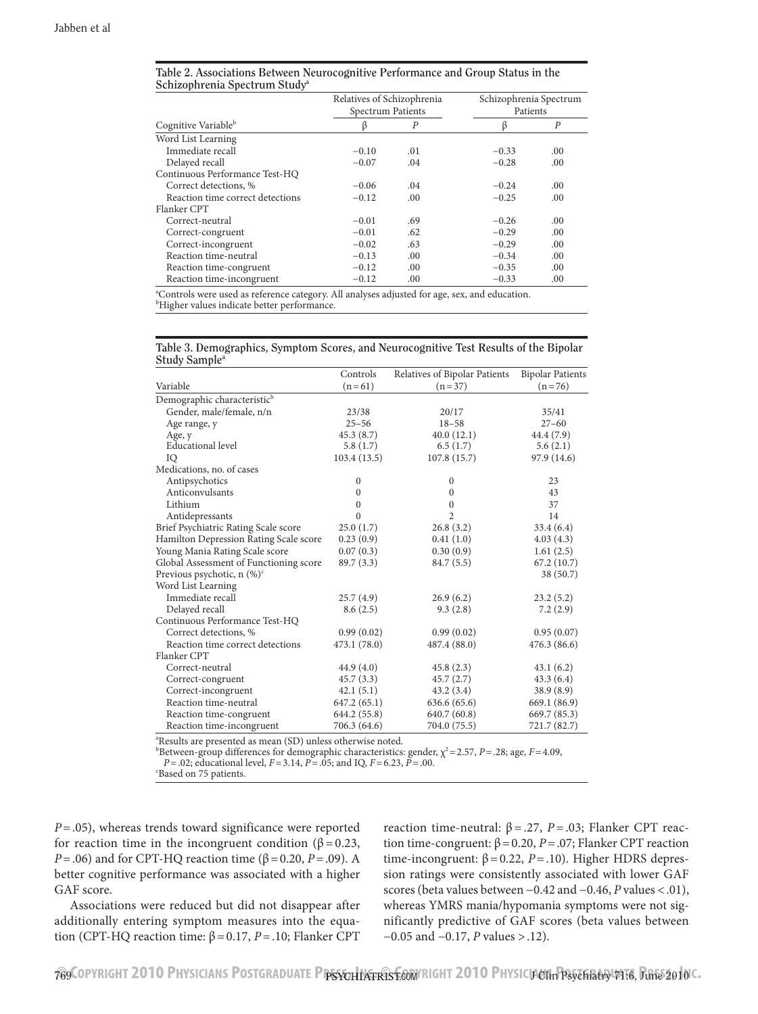|                                  | Relatives of Schizophrenia<br>Spectrum Patients |                | Schizophrenia Spectrum<br>Patients |     |  |
|----------------------------------|-------------------------------------------------|----------------|------------------------------------|-----|--|
| Cognitive Variable <sup>b</sup>  |                                                 | $\overline{P}$ |                                    | P   |  |
| Word List Learning               |                                                 |                |                                    |     |  |
| Immediate recall                 | $-0.10$                                         | .01            | $-0.33$                            | .00 |  |
| Delayed recall                   | $-0.07$                                         | .04            | $-0.28$                            | .00 |  |
| Continuous Performance Test-HQ   |                                                 |                |                                    |     |  |
| Correct detections, %            | $-0.06$                                         | .04            | $-0.24$                            | .00 |  |
| Reaction time correct detections | $-0.12$                                         | .00            | $-0.25$                            | .00 |  |
| Flanker CPT                      |                                                 |                |                                    |     |  |
| Correct-neutral                  | $-0.01$                                         | .69            | $-0.26$                            | .00 |  |
| Correct-congruent                | $-0.01$                                         | .62            | $-0.29$                            | .00 |  |
| Correct-incongruent              | $-0.02$                                         | .63            | $-0.29$                            | .00 |  |
| Reaction time-neutral            | $-0.13$                                         | .00            | $-0.34$                            | .00 |  |
| Reaction time-congruent          | $-0.12$                                         | .00            | $-0.35$                            | .00 |  |
| Reaction time-incongruent        | $-0.12$                                         | .00            | $-0.33$                            | .00 |  |

| Table 2. Associations Between Neurocognitive Performance and Group Status in the |  |  |
|----------------------------------------------------------------------------------|--|--|
| Schizophrenia Spectrum Study <sup>a</sup>                                        |  |  |

<sup>a</sup>Controls were used as reference category. All analyses adjusted for age, sex, and education. <sup>b</sup>Higher values indicate better performance.

|                           |  | Table 3. Demographics, Symptom Scores, and Neurocognitive Test Results of the Bipolar |
|---------------------------|--|---------------------------------------------------------------------------------------|
| Study Sample <sup>a</sup> |  |                                                                                       |

|                                                                     | Controls     | Relatives of Bipolar Patients | <b>Bipolar Patients</b> |
|---------------------------------------------------------------------|--------------|-------------------------------|-------------------------|
| Variable                                                            | $(n=61)$     | $(n=37)$                      | $(n=76)$                |
|                                                                     |              |                               |                         |
| Demographic characteristic <sup>b</sup><br>Gender, male/female, n/n |              |                               |                         |
|                                                                     | 23/38        | 20/17                         | 35/41                   |
| Age range, y                                                        | $25 - 56$    | $18 - 58$                     | $27 - 60$               |
| Age, y                                                              | 45.3(8.7)    | 40.0(12.1)                    | 44.4 (7.9)              |
| <b>Educational level</b>                                            | 5.8(1.7)     | 6.5(1.7)                      | 5.6(2.1)                |
| IQ                                                                  | 103.4(13.5)  | 107.8(15.7)                   | 97.9 (14.6)             |
| Medications, no. of cases                                           |              |                               |                         |
| Antipsychotics                                                      | $\mathbf{0}$ | $\mathbf{0}$                  | 23                      |
| Anticonvulsants                                                     | $\Omega$     | $\Omega$                      | 43                      |
| Lithium                                                             | $\Omega$     | $\Omega$                      | 37                      |
| Antidepressants                                                     | $\Omega$     | $\overline{c}$                | 14                      |
| Brief Psychiatric Rating Scale score                                | 25.0(1.7)    | 26.8(3.2)                     | 33.4(6.4)               |
| Hamilton Depression Rating Scale score                              | 0.23(0.9)    | 0.41(1.0)                     | 4.03(4.3)               |
| Young Mania Rating Scale score                                      | 0.07(0.3)    | 0.30(0.9)                     | 1.61(2.5)               |
| Global Assessment of Functioning score                              | 89.7 (3.3)   | 84.7 (5.5)                    | 67.2(10.7)              |
| Previous psychotic, $n$ (%) <sup>c</sup>                            |              |                               | 38 (50.7)               |
| Word List Learning                                                  |              |                               |                         |
| Immediate recall                                                    | 25.7(4.9)    | 26.9(6.2)                     | 23.2(5.2)               |
| Delayed recall                                                      | 8.6(2.5)     | 9.3(2.8)                      | 7.2(2.9)                |
| Continuous Performance Test-HQ                                      |              |                               |                         |
| Correct detections, %                                               | 0.99(0.02)   | 0.99(0.02)                    | 0.95(0.07)              |
| Reaction time correct detections                                    | 473.1 (78.0) | 487.4 (88.0)                  | 476.3(86.6)             |
| Flanker CPT                                                         |              |                               |                         |
| Correct-neutral                                                     | 44.9 (4.0)   | 45.8(2.3)                     | 43.1(6.2)               |
| Correct-congruent                                                   | 45.7(3.3)    | 45.7(2.7)                     | 43.3(6.4)               |
| Correct-incongruent                                                 | 42.1(5.1)    | 43.2 (3.4)                    | 38.9 (8.9)              |
| Reaction time-neutral                                               | 647.2 (65.1) | 636.6 (65.6)                  | 669.1 (86.9)            |
| Reaction time-congruent                                             | 644.2 (55.8) | 640.7 (60.8)                  | 669.7 (85.3)            |
| Reaction time-incongruent                                           | 706.3 (64.6) | 704.0 (75.5)                  | 721.7 (82.7)            |

a Results are presented as mean (SD) unless otherwise noted.

<sup>b</sup>Between-group differences for demographic characteristics: gender,  $\chi^2$  = 2.57, *P* = .28; age, *F* = 4.09,

*P*=.02; educational level, *F*=3.14, *P*=.05; and IQ, *F*=6.23, *P*=.00.

Based on 75 patients.

*P*=.05), whereas trends toward significance were reported for reaction time in the incongruent condition ( $\beta = 0.23$ , *P*=.06) and for CPT-HQ reaction time (β=0.20, *P*=.09). A better cognitive performance was associated with a higher GAF score.

Associations were reduced but did not disappear after additionally entering symptom measures into the equation (CPT-HQ reaction time: β=0.17, *P*=.10; Flanker CPT reaction time-neutral:  $β = .27$ ,  $P = .03$ ; Flanker CPT reaction time-congruent:  $β = 0.20$ ,  $P = .07$ ; Flanker CPT reaction time-incongruent: β=0.22, *P*=.10). Higher HDRS depression ratings were consistently associated with lower GAF scores (beta values between −0.42 and −0.46, *P* values <.01), whereas YMRS mania/hypomania symptoms were not significantly predictive of GAF scores (beta values between −0.05 and −0.17, *P* values >.12).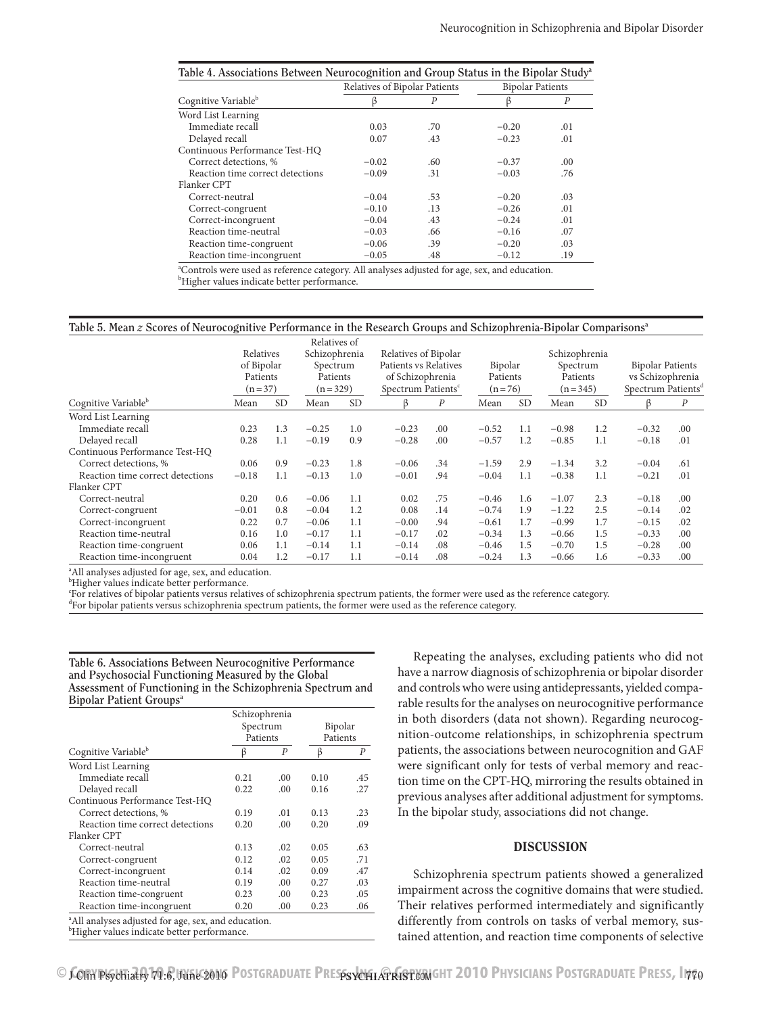| Table 4. Associations Between Neurocognition and Group Status in the Bipolar Study <sup>a</sup> |         |                               |                         |     |  |  |
|-------------------------------------------------------------------------------------------------|---------|-------------------------------|-------------------------|-----|--|--|
|                                                                                                 |         | Relatives of Bipolar Patients | <b>Bipolar Patients</b> |     |  |  |
| Cognitive Variable <sup>b</sup>                                                                 |         | P                             |                         | P   |  |  |
| Word List Learning                                                                              |         |                               |                         |     |  |  |
| Immediate recall                                                                                | 0.03    | .70                           | $-0.20$                 | .01 |  |  |
| Delayed recall                                                                                  | 0.07    | .43                           | $-0.23$                 | .01 |  |  |
| Continuous Performance Test-HQ                                                                  |         |                               |                         |     |  |  |
| Correct detections, %                                                                           | $-0.02$ | .60                           | $-0.37$                 | .00 |  |  |
| Reaction time correct detections                                                                | $-0.09$ | .31                           | $-0.03$                 | .76 |  |  |
| Flanker CPT                                                                                     |         |                               |                         |     |  |  |
| Correct-neutral                                                                                 | $-0.04$ | .53                           | $-0.20$                 | .03 |  |  |
| Correct-congruent                                                                               | $-0.10$ | .13                           | $-0.26$                 | .01 |  |  |
| Correct-incongruent                                                                             | $-0.04$ | .43                           | $-0.24$                 | .01 |  |  |
| Reaction time-neutral                                                                           | $-0.03$ | .66                           | $-0.16$                 | .07 |  |  |
| Reaction time-congruent                                                                         | $-0.06$ | .39                           | $-0.20$                 | .03 |  |  |
| Reaction time-incongruent                                                                       | $-0.05$ | .48                           | $-0.12$                 | .19 |  |  |
|                                                                                                 |         |                               |                         |     |  |  |

<sup>a</sup>Controls were used as reference category. All analyses adjusted for age, sex, and education. <sup>b</sup>Higher values indicate better performance.

#### **Table 5. Mean** *z* **Scores of Neurocognitive Performance in the Research Groups and Schizophrenia-Bipolar Comparisonsa**

|                                  |                                                 |           | Relatives of                                       |           |                                                                                                     |     |                                 |           |                                                    |           |                                                                               |                  |
|----------------------------------|-------------------------------------------------|-----------|----------------------------------------------------|-----------|-----------------------------------------------------------------------------------------------------|-----|---------------------------------|-----------|----------------------------------------------------|-----------|-------------------------------------------------------------------------------|------------------|
|                                  | Relatives<br>of Bipolar<br>Patients<br>$(n=37)$ |           | Schizophrenia<br>Spectrum<br>Patients<br>$(n=329)$ |           | Relatives of Bipolar<br>Patients vs Relatives<br>of Schizophrenia<br>Spectrum Patients <sup>c</sup> |     | Bipolar<br>Patients<br>$(n=76)$ |           | Schizophrenia<br>Spectrum<br>Patients<br>$(n=345)$ |           | <b>Bipolar Patients</b><br>vs Schizophrenia<br>Spectrum Patients <sup>d</sup> |                  |
| Cognitive Variable <sup>b</sup>  | Mean                                            | <b>SD</b> | Mean                                               | <b>SD</b> | ß                                                                                                   | P   | Mean                            | <b>SD</b> | Mean                                               | <b>SD</b> | β                                                                             | $\boldsymbol{P}$ |
| Word List Learning               |                                                 |           |                                                    |           |                                                                                                     |     |                                 |           |                                                    |           |                                                                               |                  |
| Immediate recall                 | 0.23                                            | 1.3       | $-0.25$                                            | 1.0       | $-0.23$                                                                                             | .00 | $-0.52$                         | 1.1       | $-0.98$                                            | 1.2       | $-0.32$                                                                       | .00.             |
| Delayed recall                   | 0.28                                            | 1.1       | $-0.19$                                            | 0.9       | $-0.28$                                                                                             | .00 | $-0.57$                         | 1.2       | $-0.85$                                            | 1.1       | $-0.18$                                                                       | .01              |
| Continuous Performance Test-HO   |                                                 |           |                                                    |           |                                                                                                     |     |                                 |           |                                                    |           |                                                                               |                  |
| Correct detections, %            | 0.06                                            | 0.9       | $-0.23$                                            | 1.8       | $-0.06$                                                                                             | .34 | $-1.59$                         | 2.9       | $-1.34$                                            | 3.2       | $-0.04$                                                                       | .61              |
| Reaction time correct detections | $-0.18$                                         | 1.1       | $-0.13$                                            | 1.0       | $-0.01$                                                                                             | .94 | $-0.04$                         | 1.1       | $-0.38$                                            | 1.1       | $-0.21$                                                                       | .01              |
| Flanker CPT                      |                                                 |           |                                                    |           |                                                                                                     |     |                                 |           |                                                    |           |                                                                               |                  |
| Correct-neutral                  | 0.20                                            | 0.6       | $-0.06$                                            | 1.1       | 0.02                                                                                                | .75 | $-0.46$                         | 1.6       | $-1.07$                                            | 2.3       | $-0.18$                                                                       | .00              |
| Correct-congruent                | $-0.01$                                         | 0.8       | $-0.04$                                            | 1.2       | 0.08                                                                                                | .14 | $-0.74$                         | 1.9       | $-1.22$                                            | 2.5       | $-0.14$                                                                       | .02              |
| Correct-incongruent              | 0.22                                            | 0.7       | $-0.06$                                            | 1.1       | $-0.00$                                                                                             | .94 | $-0.61$                         | 1.7       | $-0.99$                                            | 1.7       | $-0.15$                                                                       | .02              |
| Reaction time-neutral            | 0.16                                            | 1.0       | $-0.17$                                            | 1.1       | $-0.17$                                                                                             | .02 | $-0.34$                         | 1.3       | $-0.66$                                            | 1.5       | $-0.33$                                                                       | .00              |
| Reaction time-congruent          | 0.06                                            | 1.1       | $-0.14$                                            | 1.1       | $-0.14$                                                                                             | .08 | $-0.46$                         | 1.5       | $-0.70$                                            | 1.5       | $-0.28$                                                                       | .00              |
| Reaction time-incongruent        | 0.04                                            | 1.2       | $-0.17$                                            | 1.1       | $-0.14$                                                                                             | .08 | $-0.24$                         | 1.3       | $-0.66$                                            | 1.6       | $-0.33$                                                                       | .00              |

<sup>a</sup>All analyses adjusted for age, sex, and education.

<sup>b</sup>Higher values indicate better performance.

c For relatives of bipolar patients versus relatives of schizophrenia spectrum patients, the former were used as the reference category.

d For bipolar patients versus schizophrenia spectrum patients, the former were used as the reference category.

| Table 6. Associations Between Neurocognitive Performance    |
|-------------------------------------------------------------|
| and Psychosocial Functioning Measured by the Global         |
| Assessment of Functioning in the Schizophrenia Spectrum and |
| <b>Bipolar Patient Groups</b> <sup>a</sup>                  |

|                                                                 | Schizophrenia |     |          |     |
|-----------------------------------------------------------------|---------------|-----|----------|-----|
|                                                                 | Spectrum      |     | Bipolar  |     |
|                                                                 | Patients      |     | Patients |     |
| Cognitive Variable <sup>b</sup>                                 | B             | P   | β        | Р   |
| Word List Learning                                              |               |     |          |     |
| Immediate recall                                                | 0.21          | .00 | 0.10     | .45 |
| Delayed recall                                                  | 0.22          | .00 | 0.16     | .27 |
| Continuous Performance Test-HQ                                  |               |     |          |     |
| Correct detections, %                                           | 0.19          | .01 | 0.13     | .23 |
| Reaction time correct detections                                | 0.20          | .00 | 0.20     | .09 |
| Flanker CPT                                                     |               |     |          |     |
| Correct-neutral                                                 | 0.13          | .02 | 0.05     | .63 |
| Correct-congruent                                               | 0.12          | .02 | 0.05     | .71 |
| Correct-incongruent                                             | 0.14          | .02 | 0.09     | .47 |
| Reaction time-neutral                                           | 0.19          | .00 | 0.27     | .03 |
| Reaction time-congruent                                         | 0.23          | .00 | 0.23     | .05 |
| Reaction time-incongruent                                       | 0.20          | .00 | 0.23     | .06 |
| <sup>a</sup> All analyses adjusted for age, sex, and education. |               |     |          |     |

b Higher values indicate better performance.

Repeating the analyses, excluding patients who did not have a narrow diagnosis of schizophrenia or bipolar disorder and controls who were using antidepressants, yielded comparable results for the analyses on neurocognitive performance in both disorders (data not shown). Regarding neurocognition-outcome relationships, in schizophrenia spectrum patients, the associations between neurocognition and GAF were significant only for tests of verbal memory and reaction time on the CPT-HQ, mirroring the results obtained in previous analyses after additional adjustment for symptoms. In the bipolar study, associations did not change.

#### DISCUSSION

Schizophrenia spectrum patients showed a generalized impairment across the cognitive domains that were studied. Their relatives performed intermediately and significantly differently from controls on tasks of verbal memory, sustained attention, and reaction time components of selective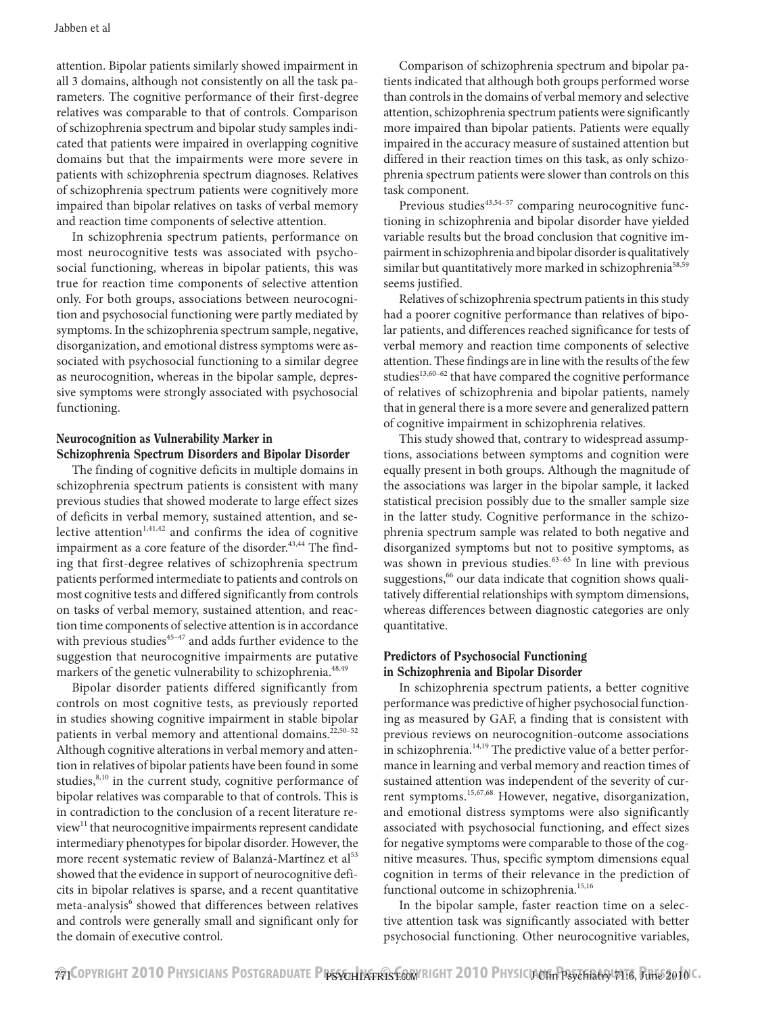attention. Bipolar patients similarly showed impairment in all 3 domains, although not consistently on all the task parameters. The cognitive performance of their first-degree relatives was comparable to that of controls. Comparison of schizophrenia spectrum and bipolar study samples indicated that patients were impaired in overlapping cognitive domains but that the impairments were more severe in patients with schizophrenia spectrum diagnoses. Relatives of schizophrenia spectrum patients were cognitively more impaired than bipolar relatives on tasks of verbal memory and reaction time components of selective attention.

In schizophrenia spectrum patients, performance on most neurocognitive tests was associated with psychosocial functioning, whereas in bipolar patients, this was true for reaction time components of selective attention only. For both groups, associations between neurocognition and psychosocial functioning were partly mediated by symptoms. In the schizophrenia spectrum sample, negative, disorganization, and emotional distress symptoms were associated with psychosocial functioning to a similar degree as neurocognition, whereas in the bipolar sample, depressive symptoms were strongly associated with psychosocial functioning.

# Neurocognition as Vulnerability Marker in Schizophrenia Spectrum Disorders and Bipolar Disorder

The finding of cognitive deficits in multiple domains in schizophrenia spectrum patients is consistent with many previous studies that showed moderate to large effect sizes of deficits in verbal memory, sustained attention, and selective attention $1,41,42$  and confirms the idea of cognitive impairment as a core feature of the disorder.<sup>43,44</sup> The finding that first-degree relatives of schizophrenia spectrum patients performed intermediate to patients and controls on most cognitive tests and differed significantly from controls on tasks of verbal memory, sustained attention, and reaction time components of selective attention is in accordance with previous studies<sup>45-47</sup> and adds further evidence to the suggestion that neurocognitive impairments are putative markers of the genetic vulnerability to schizophrenia.<sup>48,49</sup>

Bipolar disorder patients differed significantly from controls on most cognitive tests, as previously reported in studies showing cognitive impairment in stable bipolar patients in verbal memory and attentional domains.<sup>22,50-52</sup> Although cognitive alterations in verbal memory and attention in relatives of bipolar patients have been found in some studies,<sup>8,10</sup> in the current study, cognitive performance of bipolar relatives was comparable to that of controls. This is in contradiction to the conclusion of a recent literature review<sup>11</sup> that neurocognitive impairments represent candidate intermediary phenotypes for bipolar disorder. However, the more recent systematic review of Balanzá-Martínez et al<sup>53</sup> showed that the evidence in support of neurocognitive deficits in bipolar relatives is sparse, and a recent quantitative meta-analysis<sup>6</sup> showed that differences between relatives and controls were generally small and significant only for the domain of executive control.

Comparison of schizophrenia spectrum and bipolar patients indicated that although both groups performed worse than controls in the domains of verbal memory and selective attention, schizophrenia spectrum patients were significantly more impaired than bipolar patients. Patients were equally impaired in the accuracy measure of sustained attention but differed in their reaction times on this task, as only schizophrenia spectrum patients were slower than controls on this task component.

Previous studies $43,54-57$  comparing neurocognitive functioning in schizophrenia and bipolar disorder have yielded variable results but the broad conclusion that cognitive impairment in schizophrenia and bipolar disorder is qualitatively similar but quantitatively more marked in schizophrenia<sup>58,59</sup> seems justified.

Relatives of schizophrenia spectrum patients in this study had a poorer cognitive performance than relatives of bipolar patients, and differences reached significance for tests of verbal memory and reaction time components of selective attention. These findings are in line with the results of the few studies<sup>13,60-62</sup> that have compared the cognitive performance of relatives of schizophrenia and bipolar patients, namely that in general there is a more severe and generalized pattern of cognitive impairment in schizophrenia relatives.

This study showed that, contrary to widespread assumptions, associations between symptoms and cognition were equally present in both groups. Although the magnitude of the associations was larger in the bipolar sample, it lacked statistical precision possibly due to the smaller sample size in the latter study. Cognitive performance in the schizophrenia spectrum sample was related to both negative and disorganized symptoms but not to positive symptoms, as was shown in previous studies.<sup>63-65</sup> In line with previous suggestions,<sup>66</sup> our data indicate that cognition shows qualitatively differential relationships with symptom dimensions, whereas differences between diagnostic categories are only quantitative.

# Predictors of Psychosocial Functioning in Schizophrenia and Bipolar Disorder

In schizophrenia spectrum patients, a better cognitive performance was predictive of higher psychosocial functioning as measured by GAF, a finding that is consistent with previous reviews on neurocognition-outcome associations in schizophrenia.<sup>14,19</sup> The predictive value of a better performance in learning and verbal memory and reaction times of sustained attention was independent of the severity of current symptoms.<sup>15,67,68</sup> However, negative, disorganization, and emotional distress symptoms were also significantly associated with psychosocial functioning, and effect sizes for negative symptoms were comparable to those of the cognitive measures. Thus, specific symptom dimensions equal cognition in terms of their relevance in the prediction of functional outcome in schizophrenia.<sup>15,16</sup>

In the bipolar sample, faster reaction time on a selective attention task was significantly associated with better psychosocial functioning. Other neurocognitive variables,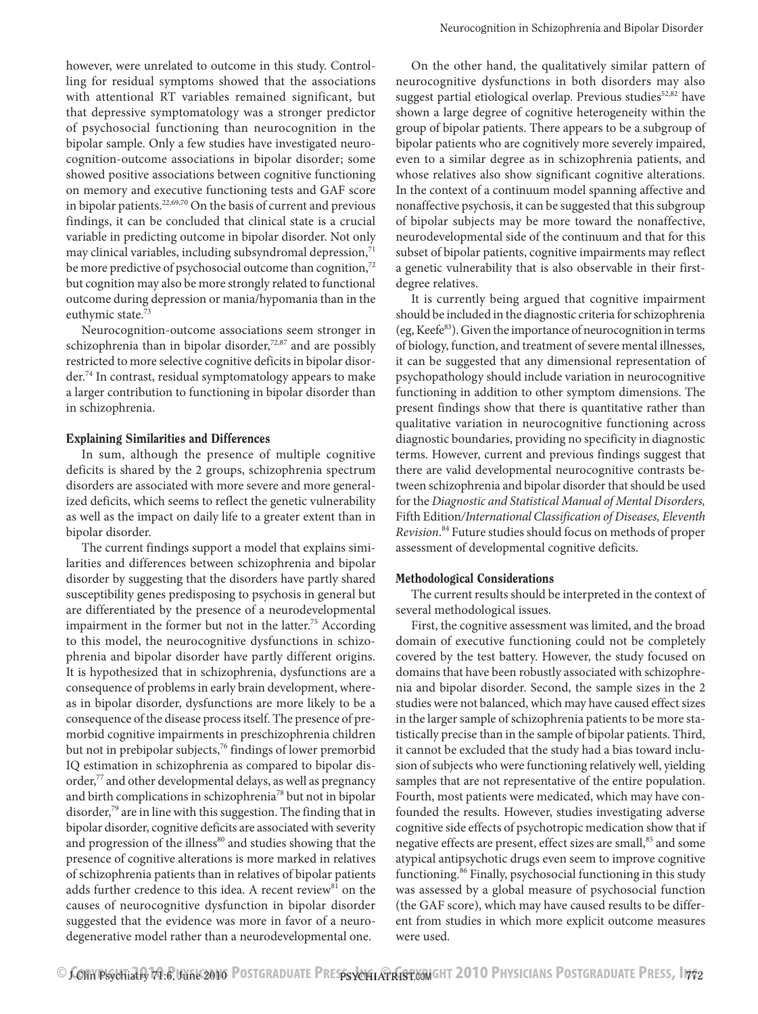however, were unrelated to outcome in this study. Controlling for residual symptoms showed that the associations with attentional RT variables remained significant, but that depressive symptomatology was a stronger predictor of psychosocial functioning than neurocognition in the bipolar sample. Only a few studies have investigated neurocognition-outcome associations in bipolar disorder; some showed positive associations between cognitive functioning on memory and executive functioning tests and GAF score in bipolar patients.<sup>22,69,70</sup> On the basis of current and previous findings, it can be concluded that clinical state is a crucial variable in predicting outcome in bipolar disorder. Not only may clinical variables, including subsyndromal depression, $71$ be more predictive of psychosocial outcome than cognition,<sup>72</sup> but cognition may also be more strongly related to functional outcome during depression or mania/hypomania than in the euthymic state.<sup>73</sup>

Neurocognition-outcome associations seem stronger in schizophrenia than in bipolar disorder, $72,87$  and are possibly restricted to more selective cognitive deficits in bipolar disorder.74 In contrast, residual symptomatology appears to make a larger contribution to functioning in bipolar disorder than in schizophrenia.

#### Explaining Similarities and Differences

In sum, although the presence of multiple cognitive deficits is shared by the 2 groups, schizophrenia spectrum disorders are associated with more severe and more generalized deficits, which seems to reflect the genetic vulnerability as well as the impact on daily life to a greater extent than in bipolar disorder.

The current findings support a model that explains similarities and differences between schizophrenia and bipolar disorder by suggesting that the disorders have partly shared susceptibility genes predisposing to psychosis in general but are differentiated by the presence of a neurodevelopmental impairment in the former but not in the latter.<sup>75</sup> According to this model, the neurocognitive dysfunctions in schizophrenia and bipolar disorder have partly different origins. It is hypothesized that in schizophrenia, dysfunctions are a consequence of problems in early brain development, whereas in bipolar disorder, dysfunctions are more likely to be a consequence of the disease process itself. The presence of premorbid cognitive impairments in preschizophrenia children but not in prebipolar subjects,<sup>76</sup> findings of lower premorbid IQ estimation in schizophrenia as compared to bipolar disorder,<sup>77</sup> and other developmental delays, as well as pregnancy and birth complications in schizophrenia78 but not in bipolar disorder,<sup>79</sup> are in line with this suggestion. The finding that in bipolar disorder, cognitive deficits are associated with severity and progression of the illness<sup>80</sup> and studies showing that the presence of cognitive alterations is more marked in relatives of schizophrenia patients than in relatives of bipolar patients adds further credence to this idea. A recent review<sup>81</sup> on the causes of neurocognitive dysfunction in bipolar disorder suggested that the evidence was more in favor of a neurodegenerative model rather than a neurodevelopmental one.

On the other hand, the qualitatively similar pattern of neurocognitive dysfunctions in both disorders may also suggest partial etiological overlap. Previous studies $52,82$  have shown a large degree of cognitive heterogeneity within the group of bipolar patients. There appears to be a subgroup of bipolar patients who are cognitively more severely impaired, even to a similar degree as in schizophrenia patients, and whose relatives also show significant cognitive alterations. In the context of a continuum model spanning affective and nonaffective psychosis, it can be suggested that this subgroup of bipolar subjects may be more toward the nonaffective, neurodevelopmental side of the continuum and that for this subset of bipolar patients, cognitive impairments may reflect a genetic vulnerability that is also observable in their firstdegree relatives.

It is currently being argued that cognitive impairment should be included in the diagnostic criteria for schizophrenia (eg, Keefe $^{83}$ ). Given the importance of neurocognition in terms of biology, function, and treatment of severe mental illnesses, it can be suggested that any dimensional representation of psychopathology should include variation in neurocognitive functioning in addition to other symptom dimensions. The present findings show that there is quantitative rather than qualitative variation in neurocognitive functioning across diagnostic boundaries, providing no specificity in diagnostic terms. However, current and previous findings suggest that there are valid developmental neurocognitive contrasts between schizophrenia and bipolar disorder that should be used for the *Diagnostic and Statistical Manual of Mental Disorders,*  Fifth Edition*/International Classification of Diseases, Eleventh Revision*. 84 Future studies should focus on methods of proper assessment of developmental cognitive deficits.

## Methodological Considerations

The current results should be interpreted in the context of several methodological issues.

First, the cognitive assessment was limited, and the broad domain of executive functioning could not be completely covered by the test battery. However, the study focused on domains that have been robustly associated with schizophrenia and bipolar disorder. Second, the sample sizes in the 2 studies were not balanced, which may have caused effect sizes in the larger sample of schizophrenia patients to be more statistically precise than in the sample of bipolar patients. Third, it cannot be excluded that the study had a bias toward inclusion of subjects who were functioning relatively well, yielding samples that are not representative of the entire population. Fourth, most patients were medicated, which may have confounded the results. However, studies investigating adverse cognitive side effects of psychotropic medication show that if negative effects are present, effect sizes are small,<sup>85</sup> and some atypical antipsychotic drugs even seem to improve cognitive functioning.<sup>86</sup> Finally, psychosocial functioning in this study was assessed by a global measure of psychosocial function (the GAF score), which may have caused results to be different from studies in which more explicit outcome measures were used.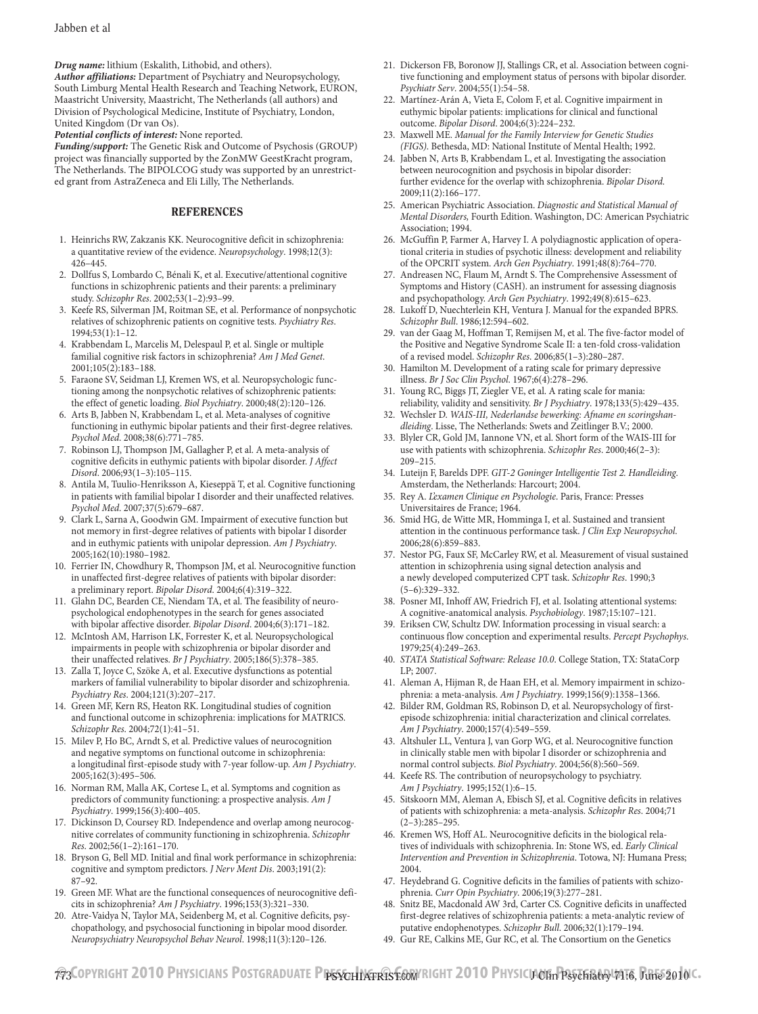*Drug name:* lithium (Eskalith, Lithobid, and others).

*Author affiliations:* Department of Psychiatry and Neuropsychology, South Limburg Mental Health Research and Teaching Network, EURON, Maastricht University, Maastricht, The Netherlands (all authors) and Division of Psychological Medicine, Institute of Psychiatry, London, United Kingdom (Dr van Os).

*Potential conflicts of interest:* None reported.

*Funding/support:* The Genetic Risk and Outcome of Psychosis (GROUP) project was financially supported by the ZonMW GeestKracht program, The Netherlands. The BIPOLCOG study was supported by an unrestricted grant from AstraZeneca and Eli Lilly, The Netherlands.

#### REFERENCES

- 1. Heinrichs RW, Zakzanis KK. Neurocognitive deficit in schizophrenia: a quantitative review of the evidence. *Neuropsychology*. 1998;12(3):  $426 - 445.$
- 2. Dollfus S, Lombardo C, Bénali K, et al. Executive/attentional cognitive functions in schizophrenic patients and their parents: a preliminary study. *Schizophr Res.* 2002;53(1-2):93-99.
- 3. Keefe RS, Silverman JM, Roitman SE, et al. Performance of nonpsychotic relatives of schizophrenic patients on cognitive tests. *Psychiatry Res*.  $1994;53(1):1-12.$
- 4. Krabbendam L, Marcelis M, Delespaul P, et al. Single or multiple familial cognitive risk factors in schizophrenia? *Am J Med Genet*.  $2001;105(2):183-188.$
- 5. Faraone SV, Seidman LJ, Kremen WS, et al. Neuropsychologic functioning among the nonpsychotic relatives of schizophrenic patients: the effect of genetic loading. *Biol Psychiatry*. 2000;48(2):120-126.
- 6. Arts B, Jabben N, Krabbendam L, et al. Meta-analyses of cognitive functioning in euthymic bipolar patients and their first-degree relatives. Psychol Med. 2008;38(6):771-785.
- 7. Robinson LJ, Thompson JM, Gallagher P, et al. A meta-analysis of cognitive deficits in euthymic patients with bipolar disorder. *J Affect Disord.* 2006;93(1-3):105-115.
- 8. Antila M, Tuulio-Henriksson A, Kieseppä T, et al. Cognitive functioning in patients with familial bipolar I disorder and their unaffected relatives. Psychol Med. 2007;37(5):679-687.
- 9. Clark L, Sarna A, Goodwin GM. Impairment of executive function but not memory in first-degree relatives of patients with bipolar I disorder and in euthymic patients with unipolar depression. *Am J Psychiatry*. 2005;162(10):1980-1982.
- 10. Ferrier IN, Chowdhury R, Thompson JM, et al. Neurocognitive function in unaffected first-degree relatives of patients with bipolar disorder: a preliminary report. *Bipolar Disord*. 2004;6(4):319-322.
- 11. Glahn DC, Bearden CE, Niendam TA, et al. The feasibility of neuropsychological endophenotypes in the search for genes associated with bipolar affective disorder. *Bipolar Disord*. 2004;6(3):171-182.
- 12. McIntosh AM, Harrison LK, Forrester K, et al. Neuropsychological impairments in people with schizophrenia or bipolar disorder and their unaffected relatives. *Br J Psychiatry*. 2005;186(5):378-385.
- 13. Zalla T, Joyce C, Szöke A, et al. Executive dysfunctions as potential markers of familial vulnerability to bipolar disorder and schizophrenia. *Psychiatry Res.* 2004;121(3):207-217.
- 14. Green MF, Kern RS, Heaton RK. Longitudinal studies of cognition and functional outcome in schizophrenia: implications for MATRICS. *Schizophr Res.* 2004;72(1):41-51.
- 15. Milev P, Ho BC, Arndt S, et al. Predictive values of neurocognition and negative symptoms on functional outcome in schizophrenia: a longitudinal first-episode study with 7-year follow-up. *Am J Psychiatry*. 2005;162(3):495-506.
- 16. Norman RM, Malla AK, Cortese L, et al. Symptoms and cognition as predictors of community functioning: a prospective analysis. *Am J Psychiatry*. 1999;156(3):400-405.
- 17. Dickinson D, Coursey RD. Independence and overlap among neurocognitive correlates of community functioning in schizophrenia. *Schizophr Res.* 2002;56(1-2):161-170.
- 18. Bryson G, Bell MD. Initial and final work performance in schizophrenia: cognitive and symptom predictors. *J Nerv Ment Dis*. 2003;191(2):  $87-92.$
- 19. Green MF. What are the functional consequences of neurocognitive deficits in schizophrenia? *Am J Psychiatry*. 1996;153(3):321-330.
- 20. Atre-Vaidya N, Taylor MA, Seidenberg M, et al. Cognitive deficits, psychopathology, and psychosocial functioning in bipolar mood disorder. *Neuropsychiatry Neuropsychol Behav Neurol.* 1998;11(3):120-126.
- 21. Dickerson FB, Boronow JJ, Stallings CR, et al. Association between cognitive functioning and employment status of persons with bipolar disorder. Psychiatr Serv. 2004;55(1):54-58.
- 22. Martínez-Arán A, Vieta E, Colom F, et al. Cognitive impairment in euthymic bipolar patients: implications for clinical and functional outcome. *Bipolar Disord*. 2004;6(3):224-232.
- 23. Maxwell ME. *Manual for the Family Interview for Genetic Studies (FIGS)*. Bethesda, MD: National Institute of Mental Health; 1992.
- 24. Jabben N, Arts B, Krabbendam L, et al. Investigating the association between neurocognition and psychosis in bipolar disorder: further evidence for the overlap with schizophrenia. *Bipolar Disord.* 2009;11(2):166-177.
- 25. American Psychiatric Association. *Diagnostic and Statistical Manual of Mental Disorders,* Fourth Edition. Washington, DC: American Psychiatric Association; 1994.
- 26. McGuffin P, Farmer A, Harvey I. A polydiagnostic application of operational criteria in studies of psychotic illness: development and reliability of the OPCRIT system. *Arch Gen Psychiatry*. 1991;48(8):764-770.
- 27. Andreasen NC, Flaum M, Arndt S. The Comprehensive Assessment of Symptoms and History (CASH). an instrument for assessing diagnosis and psychopathology. Arch Gen Psychiatry. 1992;49(8):615-623.
- 28. Lukoff D, Nuechterlein KH, Ventura J. Manual for the expanded BPRS. *Schizophr Bull*. 1986;12:594–602.
- 29. van der Gaag M, Hoffman T, Remijsen M, et al. The five-factor model of the Positive and Negative Syndrome Scale II: a ten-fold cross-validation of a revised model. *Schizophr Res*. 2006;85(1-3):280-287.
- 30. Hamilton M. Development of a rating scale for primary depressive illness. *Br J Soc Clin Psychol*. 1967;6(4):278-296.
- 31. Young RC, Biggs JT, Ziegler VE, et al. A rating scale for mania: reliability, validity and sensitivity. *Br J Psychiatry*. 1978;133(5):429-435.
- 32. Wechsler D. *WAIS-III, Nederlandse bewerking: Afname en scoringshandleiding*. Lisse, The Netherlands: Swets and Zeitlinger B.V.; 2000.
- 33. Blyler CR, Gold JM, Iannone VN, et al. Short form of the WAIS-III for use with patients with schizophrenia. *Schizophr Res*. 2000;46(2–3):  $209 - 215.$
- 34. Luteijn F, Barelds DPF. *GIT-2 Goninger Intelligentie Test 2. Handleiding*. Amsterdam, the Netherlands: Harcourt; 2004.
- 35. Rey A. *L'examen Clinique en Psychologie*. Paris, France: Presses Universitaires de France; 1964.
- 36. Smid HG, de Witte MR, Homminga I, et al. Sustained and transient attention in the continuous performance task. *J Clin Exp Neuropsychol*. 2006;28(6):859-883.
- 37. Nestor PG, Faux SF, McCarley RW, et al. Measurement of visual sustained attention in schizophrenia using signal detection analysis and a newly developed computerized CPT task. *Schizophr Res*. 1990;3  $(5-6):329-332$
- 38. Posner MI, Inhoff AW, Friedrich FJ, et al. Isolating attentional systems: A cognitive-anatomical analysis. *Psychobiology*. 1987;15:107–121.
- 39. Eriksen CW, Schultz DW. Information processing in visual search: a continuous flow conception and experimental results. *Percept Psychophys*. 1979;25(4):249-263.
- 40. *STATA Statistical Software: Release 10.0*. College Station, TX: StataCorp LP; 2007.
- 41. Aleman A, Hijman R, de Haan EH, et al. Memory impairment in schizophrenia: a meta-analysis. *Am J Psychiatry*. 1999;156(9):1358-1366.
- 42. Bilder RM, Goldman RS, Robinson D, et al. Neuropsychology of firstepisode schizophrenia: initial characterization and clinical correlates. *Am J Psychiatry.* 2000;157(4):549-559.
- 43. Altshuler LL, Ventura J, van Gorp WG, et al. Neurocognitive function in clinically stable men with bipolar I disorder or schizophrenia and normal control subjects. *Biol Psychiatry*. 2004;56(8):560-569.
- 44. Keefe RS. The contribution of neuropsychology to psychiatry. *Am J Psychiatry*. 1995;152(1):6-15.
- 45. Sitskoorn MM, Aleman A, Ebisch SJ, et al. Cognitive deficits in relatives of patients with schizophrenia: a meta-analysis. *Schizophr Res*. 2004;71  $(2-3):285-295.$
- 46. Kremen WS, Hoff AL. Neurocognitive deficits in the biological relatives of individuals with schizophrenia. In: Stone WS, ed. *Early Clinical Intervention and Prevention in Schizophrenia*. Totowa, NJ: Humana Press; 2004.
- 47. Heydebrand G. Cognitive deficits in the families of patients with schizophrenia. *Curr Opin Psychiatry*. 2006;19(3):277-281.
- 48. Snitz BE, Macdonald AW 3rd, Carter CS. Cognitive deficits in unaffected first-degree relatives of schizophrenia patients: a meta-analytic review of putative endophenotypes. *Schizophr Bull.* 2006;32(1):179-194.
- 49. Gur RE, Calkins ME, Gur RC, et al. The Consortium on the Genetics